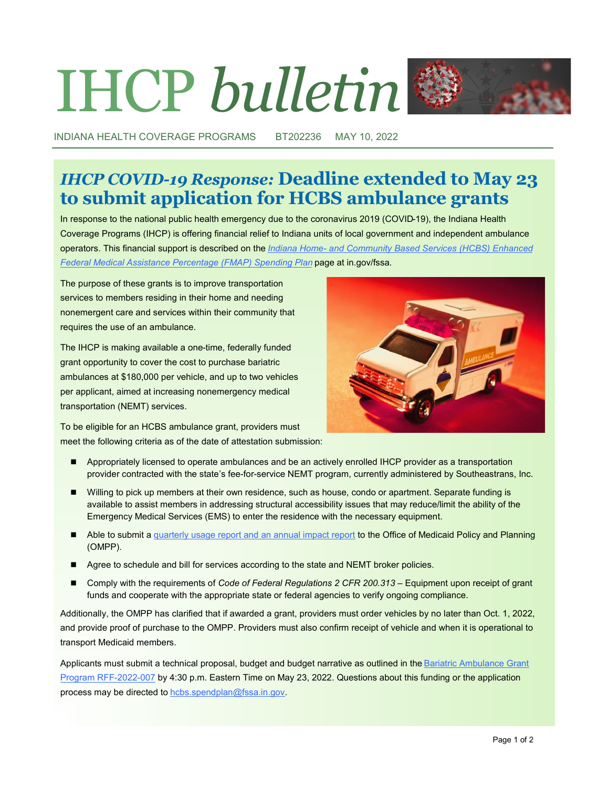# IHCP *bulletin*



INDIANA HEALTH COVERAGE PROGRAMS BT202236 MAY 10, 2022

## *IHCP COVID-19 Response:* **Deadline extended to May 23 to submit application for HCBS ambulance grants**

In response to the national public health emergency due to the coronavirus 2019 (COVID-19), the Indiana Health Coverage Programs (IHCP) is offering financial relief to Indiana units of local government and independent ambulance operators. This financial support is described on the *Indiana Home- [and Community Based Services \(HCBS\) Enhanced](https://www.in.gov/fssa/ompp/hcbs-enhanced-fmap-spending-plan)  [Federal Medical Assistance Percentage \(FMAP\) Spending Plan](https://www.in.gov/fssa/ompp/hcbs-enhanced-fmap-spending-plan)* page at in.gov/fssa.

The purpose of these grants is to improve transportation services to members residing in their home and needing nonemergent care and services within their community that requires the use of an ambulance.

The IHCP is making available a one-time, federally funded grant opportunity to cover the cost to purchase bariatric ambulances at \$180,000 per vehicle, and up to two vehicles per applicant, aimed at increasing nonemergency medical transportation (NEMT) services.

To be eligible for an HCBS ambulance grant, providers must meet the following criteria as of the date of attestation submission:

- Appropriately licensed to operate ambulances and be an actively enrolled IHCP provider as a transportation provider contracted with the state's fee-for-service NEMT program, currently administered by Southeastrans, Inc.
- Willing to pick up members at their own residence, such as house, condo or apartment. Separate funding is available to assist members in addressing structural accessibility issues that may reduce/limit the ability of the Emergency Medical Services (EMS) to enter the residence with the necessary equipment.
- Able to submit a [quarterly usage report and an annual impact report](https://www.in.gov/fssa/ompp/files/HCBS-Ambulance-Grant-Quarterly-Report-Template.xlsx) to the Office of Medicaid Policy and Planning (OMPP).
- Agree to schedule and bill for services according to the state and NEMT broker policies.
- Comply with the requirements of *Code of Federal Regulations 2 CFR 200.313* Equipment upon receipt of grant funds and cooperate with the appropriate state or federal agencies to verify ongoing compliance.

Additionally, the OMPP has clarified that if awarded a grant, providers must order vehicles by no later than Oct. 1, 2022, and provide proof of purchase to the OMPP. Providers must also confirm receipt of vehicle and when it is operational to transport Medicaid members.

Applicants must submit a technical proposal, budget and budget narrative as outlined in the Bariatric Ambulance Grant [Program RFF](http://www.in.gov/fssa/ompp/hcbs-enhanced-fmap-spending-plan/bariatric-ambulance-grant-program-now-open/)-2022-007 by 4:30 p.m. Eastern Time on May 23, 2022. Questions about this funding or the application process may be directed to [hcbs.spendplan@fssa.in.gov.](mailto:hcbs.spendplan@fssa.in.gov)